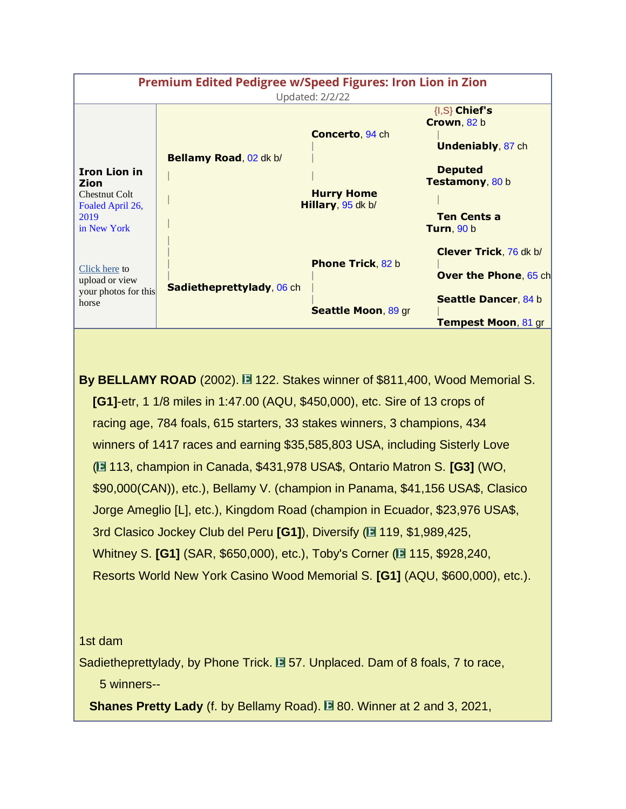| <b>Premium Edited Pedigree w/Speed Figures: Iron Lion in Zion</b><br><b>Updated: 2/2/22</b>    |                                  |                                                                  |                                                                                                                                               |
|------------------------------------------------------------------------------------------------|----------------------------------|------------------------------------------------------------------|-----------------------------------------------------------------------------------------------------------------------------------------------|
| <b>Iron Lion in</b><br>Zion<br><b>Chestnut Colt</b><br>Foaled April 26,<br>2019<br>in New York | Bellamy Road, 02 dk b/           | <b>Concerto, 94 ch</b><br><b>Hurry Home</b><br>Hillary, 95 dk b/ | $\{I, S\}$ Chief's<br>Crown, 82 b<br><b>Undeniably, 87 ch</b><br><b>Deputed</b><br>Testamony, 80 b<br><b>Ten Cents a</b><br><b>Turn, 90 b</b> |
| Click here to<br>upload or view<br>your photos for this<br>horse                               | <b>Sadietheprettylady, 06 ch</b> | <b>Phone Trick, 82 b</b><br>Seattle Moon, 89 gr                  | <b>Clever Trick, 76 dk b/</b><br><b>Over the Phone, 65 ch</b><br><b>Seattle Dancer, 84 b</b><br><b>Tempest Moon, 81 gr</b>                    |

**By BELLAMY ROAD** (2002). **122.** Stakes winner of \$811,400, Wood Memorial S. **[G1]**-etr, 1 1/8 miles in 1:47.00 (AQU, \$450,000), etc. Sire of 13 crops of racing age, 784 foals, 615 starters, 33 stakes winners, 3 champions, 434 winners of 1417 races and earning \$35,585,803 USA, including Sisterly Love ( 113, champion in Canada, \$431,978 USA\$, Ontario Matron S. **[G3]** (WO, \$90,000(CAN)), etc.), Bellamy V. (champion in Panama, \$41,156 USA\$, Clasico Jorge Ameglio [L], etc.), Kingdom Road (champion in Ecuador, \$23,976 USA\$, 3rd Clasico Jockey Club del Peru [G1]), Diversify (**119, \$1,989,425**, Whitney S. **[G1]** (SAR, \$650,000), etc.), Toby's Corner (**E** 115, \$928,240, Resorts World New York Casino Wood Memorial S. **[G1]** (AQU, \$600,000), etc.).

## 1st dam

Sadietheprettylady, by Phone Trick. **E** 57. Unplaced. Dam of 8 foals, 7 to race, 5 winners--

**Shanes Pretty Lady** (f. by Bellamy Road). **80. Winner at 2 and 3, 2021,**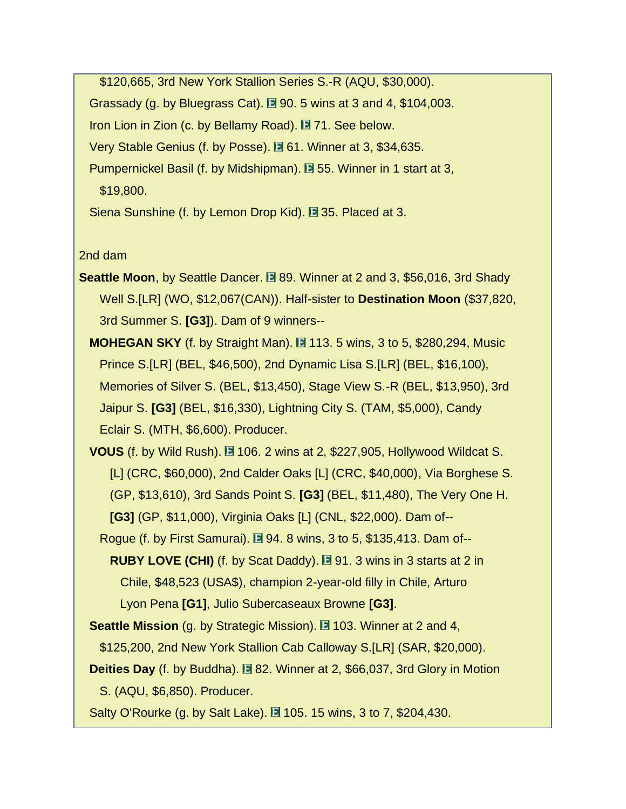\$120,665, 3rd New York Stallion Series S.-R (AQU, \$30,000). Grassady (g. by Bluegrass Cat).  $\Box$  90. 5 wins at 3 and 4, \$104,003. Iron Lion in Zion (c. by Bellamy Road).  $\Box$  71. See below. Very Stable Genius (f. by Posse). **E** 61. Winner at 3, \$34,635. Pumpernickel Basil (f. by Midshipman). **E** 55. Winner in 1 start at 3, \$19,800.

Siena Sunshine (f. by Lemon Drop Kid). **E** 35. Placed at 3.

2nd dam

- **Seattle Moon, by Seattle Dancer. E 89. Winner at 2 and 3, \$56,016, 3rd Shady**  Well S.[LR] (WO, \$12,067(CAN)). Half-sister to **Destination Moon** (\$37,820, 3rd Summer S. **[G3]**). Dam of 9 winners--
	- **MOHEGAN SKY** (f. by Straight Man). **113. 5 wins, 3 to 5, \$280,294, Music**  Prince S.[LR] (BEL, \$46,500), 2nd Dynamic Lisa S.[LR] (BEL, \$16,100), Memories of Silver S. (BEL, \$13,450), Stage View S.-R (BEL, \$13,950), 3rd Jaipur S. **[G3]** (BEL, \$16,330), Lightning City S. (TAM, \$5,000), Candy Eclair S. (MTH, \$6,600). Producer.
	- **VOUS** (f. by Wild Rush). **106. 2 wins at 2, \$227,905, Hollywood Wildcat S.**  [L] (CRC, \$60,000), 2nd Calder Oaks [L] (CRC, \$40,000), Via Borghese S. (GP, \$13,610), 3rd Sands Point S. **[G3]** (BEL, \$11,480), The Very One H. **[G3]** (GP, \$11,000), Virginia Oaks [L] (CNL, \$22,000). Dam of--
		- Rogue (f. by First Samurai).  $\Box$  94. 8 wins, 3 to 5, \$135,413. Dam of--**RUBY LOVE (CHI)** (f. by Scat Daddy).  $\Box$  91. 3 wins in 3 starts at 2 in Chile, \$48,523 (USA\$), champion 2-year-old filly in Chile, Arturo Lyon Pena **[G1]**, Julio Subercaseaux Browne **[G3]**.
	- **Seattle Mission** (g. by Strategic Mission). **103.** Winner at 2 and 4, \$125,200, 2nd New York Stallion Cab Calloway S.[LR] (SAR, \$20,000).
	- **Deities Day** (f. by Buddha). **E** 82. Winner at 2, \$66,037, 3rd Glory in Motion S. (AQU, \$6,850). Producer.

Salty O'Rourke (g. by Salt Lake).  $\Box$  105. 15 wins, 3 to 7, \$204,430.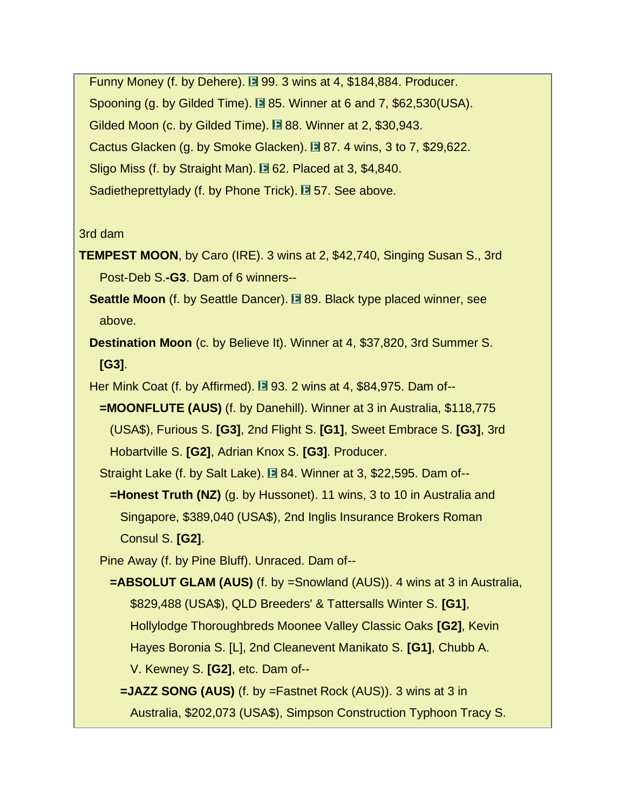Funny Money (f. by Dehere).  $\Box$  99. 3 wins at 4, \$184,884. Producer. Spooning (g. by Gilded Time).  $\Box$  85. Winner at 6 and 7, \$62,530(USA). Gilded Moon (c. by Gilded Time). **E** 88. Winner at 2, \$30,943. Cactus Glacken (g. by Smoke Glacken).  $\square$  87. 4 wins, 3 to 7, \$29,622. Sligo Miss (f. by Straight Man).  $\Box$  62. Placed at 3, \$4,840. Sadietheprettylady (f. by Phone Trick).  $\square$  57. See above.

## 3rd dam

- **TEMPEST MOON**, by Caro (IRE). 3 wins at 2, \$42,740, Singing Susan S., 3rd Post-Deb S.**-G3**. Dam of 6 winners--
	- **Seattle Moon** (f. by Seattle Dancer). **E** 89. Black type placed winner, see above.
	- **Destination Moon** (c. by Believe It). Winner at 4, \$37,820, 3rd Summer S. **[G3]**.
	- Her Mink Coat (f. by Affirmed).  $\Box$  93. 2 wins at 4, \$84,975. Dam of--
		- **=MOONFLUTE (AUS)** (f. by Danehill). Winner at 3 in Australia, \$118,775 (USA\$), Furious S. **[G3]**, 2nd Flight S. **[G1]**, Sweet Embrace S. **[G3]**, 3rd Hobartville S. **[G2]**, Adrian Knox S. **[G3]**. Producer.

Straight Lake (f. by Salt Lake).  $\Box$  84. Winner at 3, \$22,595. Dam of--

 **=Honest Truth (NZ)** (g. by Hussonet). 11 wins, 3 to 10 in Australia and Singapore, \$389,040 (USA\$), 2nd Inglis Insurance Brokers Roman Consul S. **[G2]**.

Pine Away (f. by Pine Bluff). Unraced. Dam of--

- **=ABSOLUT GLAM (AUS)** (f. by =Snowland (AUS)). 4 wins at 3 in Australia, \$829,488 (USA\$), QLD Breeders' & Tattersalls Winter S. **[G1]**, Hollylodge Thoroughbreds Moonee Valley Classic Oaks **[G2]**, Kevin Hayes Boronia S. [L], 2nd Cleanevent Manikato S. **[G1]**, Chubb A. V. Kewney S. **[G2]**, etc. Dam of--
	- **=JAZZ SONG (AUS)** (f. by =Fastnet Rock (AUS)). 3 wins at 3 in Australia, \$202,073 (USA\$), Simpson Construction Typhoon Tracy S.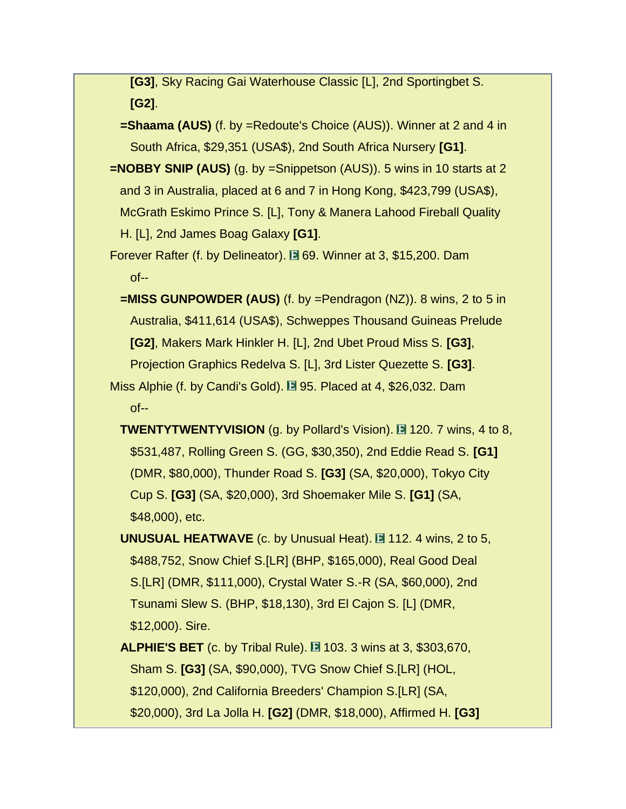**[G3]**, Sky Racing Gai Waterhouse Classic [L], 2nd Sportingbet S. **[G2]**.

**=Shaama (AUS)** (f. by =Redoute's Choice (AUS)). Winner at 2 and 4 in South Africa, \$29,351 (USA\$), 2nd South Africa Nursery **[G1]**.

 **=NOBBY SNIP (AUS)** (g. by =Snippetson (AUS)). 5 wins in 10 starts at 2 and 3 in Australia, placed at 6 and 7 in Hong Kong, \$423,799 (USA\$), McGrath Eskimo Prince S. [L], Tony & Manera Lahood Fireball Quality H. [L], 2nd James Boag Galaxy **[G1]**.

Forever Rafter (f. by Delineator). **E** 69. Winner at 3, \$15,200. Dam of--

 **=MISS GUNPOWDER (AUS)** (f. by =Pendragon (NZ)). 8 wins, 2 to 5 in Australia, \$411,614 (USA\$), Schweppes Thousand Guineas Prelude **[G2]**, Makers Mark Hinkler H. [L], 2nd Ubet Proud Miss S. **[G3]**, Projection Graphics Redelva S. [L], 3rd Lister Quezette S. **[G3]**.

Miss Alphie (f. by Candi's Gold).  $\Box$  95. Placed at 4, \$26,032. Dam of--

**TWENTYTWENTYVISION** (g. by Pollard's Vision). 120. 7 wins, 4 to 8, \$531,487, Rolling Green S. (GG, \$30,350), 2nd Eddie Read S. **[G1]** (DMR, \$80,000), Thunder Road S. **[G3]** (SA, \$20,000), Tokyo City Cup S. **[G3]** (SA, \$20,000), 3rd Shoemaker Mile S. **[G1]** (SA, \$48,000), etc.

**UNUSUAL HEATWAVE** (c. by Unusual Heat). **112. 4 wins, 2 to 5,**  \$488,752, Snow Chief S.[LR] (BHP, \$165,000), Real Good Deal S.[LR] (DMR, \$111,000), Crystal Water S.-R (SA, \$60,000), 2nd Tsunami Slew S. (BHP, \$18,130), 3rd El Cajon S. [L] (DMR, \$12,000). Sire.

**ALPHIE'S BET** (c. by Tribal Rule). **103. 3 wins at 3, \$303,670,**  Sham S. **[G3]** (SA, \$90,000), TVG Snow Chief S.[LR] (HOL, \$120,000), 2nd California Breeders' Champion S.[LR] (SA, \$20,000), 3rd La Jolla H. **[G2]** (DMR, \$18,000), Affirmed H. **[G3]**